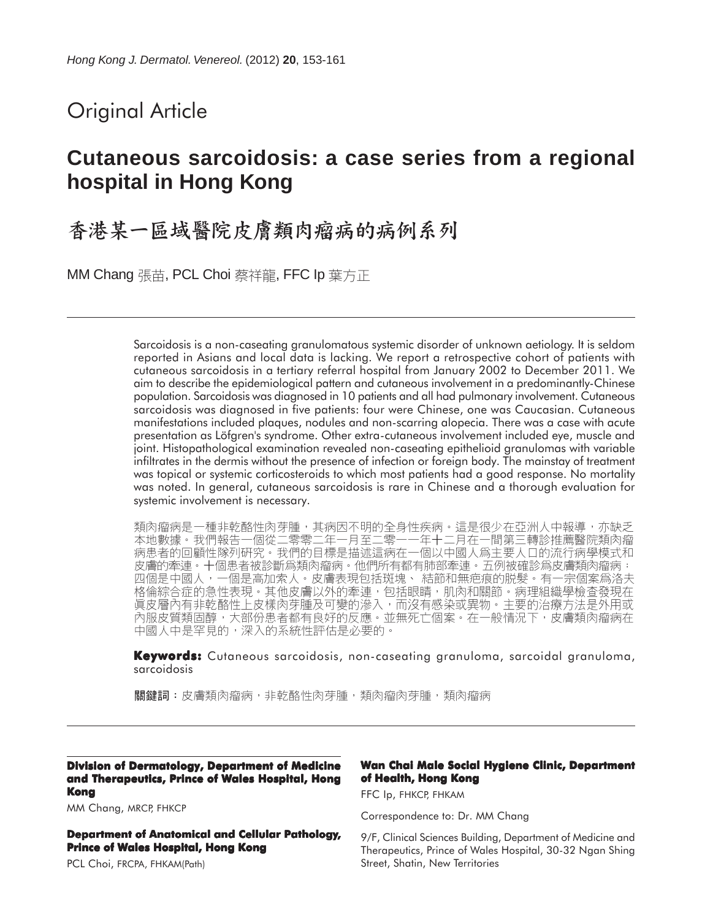# Original Article

# **Cutaneous sarcoidosis: a case series from a regional hospital in Hong Kong**

# 香港某一區域醫院皮膚類肉瘤病的病例系列

MM Chang 張苗, PCL Choi 蔡祥龍, FFC Ip 葉方正

Sarcoidosis is a non-caseating granulomatous systemic disorder of unknown aetiology. It is seldom reported in Asians and local data is lacking. We report a retrospective cohort of patients with cutaneous sarcoidosis in a tertiary referral hospital from January 2002 to December 2011. We aim to describe the epidemiological pattern and cutaneous involvement in a predominantly-Chinese population. Sarcoidosis was diagnosed in 10 patients and all had pulmonary involvement. Cutaneous sarcoidosis was diagnosed in five patients: four were Chinese, one was Caucasian. Cutaneous manifestations included plaques, nodules and non-scarring alopecia. There was a case with acute presentation as Löfgren's syndrome. Other extra-cutaneous involvement included eye, muscle and joint. Histopathological examination revealed non-caseating epithelioid granulomas with variable infiltrates in the dermis without the presence of infection or foreign body. The mainstay of treatment was topical or systemic corticosteroids to which most patients had a good response. No mortality was noted. In general, cutaneous sarcoidosis is rare in Chinese and a thorough evaluation for systemic involvement is necessary.

類肉瘤病是一種非乾酪性肉芽腫,其病因不明的全身性疾病。這是很少在亞洲人中報導,亦缺乏<br>本地數據。我們報告一個從二零零二年一月至二零一一年十二月在一間第三轉診推薦醫院類肉瘤 病患者的回顧性隊列研究。我們的目標是描述這病在一個以中國人爲主要人口的流行病學模式和 皮膚的牽連。十個患者被診斷爲類肉瘤病。他們所有都有肺部牽連。五例被確診爲皮膚類肉瘤病: 四個是中國人,一個是高加索人。皮膚表現包括斑塊、 結節和無疤痕的脱髮。有一宗個案爲洛夫 格倫綜合症的急性表現。其他皮膚以外的牽連,包括眼睛,肌肉和關節。病理組織學檢查發現在 真皮層內有非乾酪性上皮樣肉芽腫及可變的滲入,而沒有感染或異物。主要的治療方法是外用或 內服皮質類固醇,大部份患者都有良好的反應。並無死亡個案。在一般情況下,皮膚類肉瘤病在 中國人中是罕見的,深入的系統性評估是必要的。

**Keywords:** Cutaneous sarcoidosis, non-caseating granuloma, sarcoidal granuloma, sarcoidosis

關鍵詞:皮膚類肉瘤病,非乾酪性肉芽腫,類肉瘤肉芽腫,類肉瘤病

#### **Division of Dermatology, Department of Medicine and Therapeutics, Prince of Wales Hospital, Hong Kong**

MM Chang, MRCP, FHKCP

**Department of Anatomical and Cellular Pathology, Prince of Wales Hospital, Hong Kong**

PCL Choi, FRCPA, FHKAM(Path)

#### **Wan Chai Male Social Hygiene Clinic, Department of Health, Hong Kong**

FFC Ip, FHKCP, FHKAM

Correspondence to: Dr. MM Chang

9/F, Clinical Sciences Building, Department of Medicine and Therapeutics, Prince of Wales Hospital, 30-32 Ngan Shing Street, Shatin, New Territories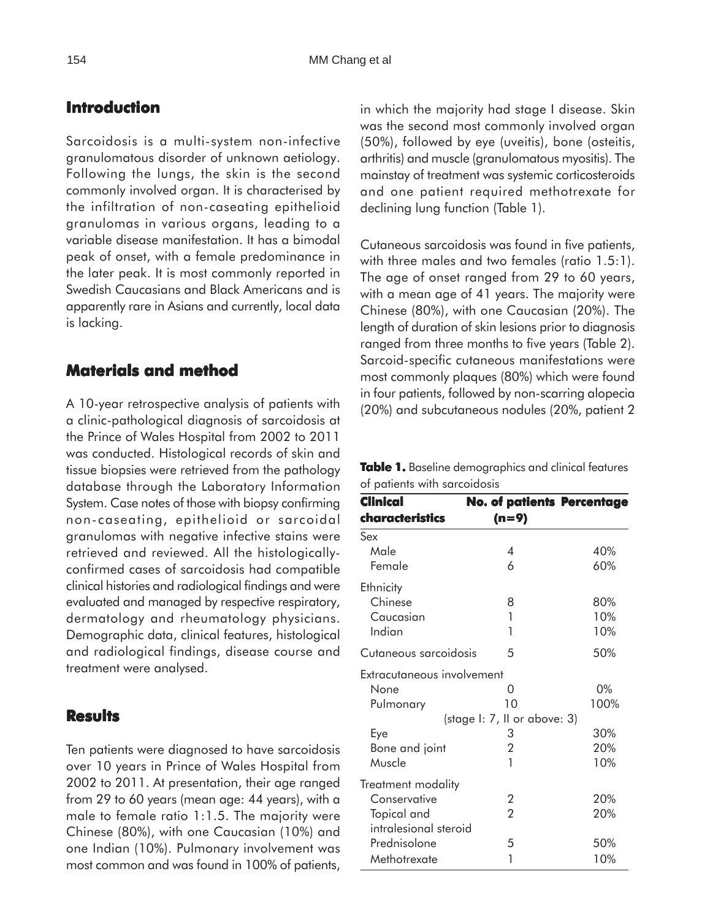## **Introduction**

Sarcoidosis is a multi-system non-infective granulomatous disorder of unknown aetiology. Following the lungs, the skin is the second commonly involved organ. It is characterised by the infiltration of non-caseating epithelioid granulomas in various organs, leading to a variable disease manifestation. It has a bimodal peak of onset, with a female predominance in the later peak. It is most commonly reported in Swedish Caucasians and Black Americans and is apparently rare in Asians and currently, local data is lacking.

### **Materials and method**

A 10-year retrospective analysis of patients with a clinic-pathological diagnosis of sarcoidosis at the Prince of Wales Hospital from 2002 to 2011 was conducted. Histological records of skin and tissue biopsies were retrieved from the pathology database through the Laboratory Information System. Case notes of those with biopsy confirming non-caseating, epithelioid or sarcoidal granulomas with negative infective stains were retrieved and reviewed. All the histologicallyconfirmed cases of sarcoidosis had compatible clinical histories and radiological findings and were evaluated and managed by respective respiratory, dermatology and rheumatology physicians. Demographic data, clinical features, histological and radiological findings, disease course and treatment were analysed.

### **Results**

Ten patients were diagnosed to have sarcoidosis over 10 years in Prince of Wales Hospital from 2002 to 2011. At presentation, their age ranged from 29 to 60 years (mean age: 44 years), with a male to female ratio 1:1.5. The majority were Chinese (80%), with one Caucasian (10%) and one Indian (10%). Pulmonary involvement was most common and was found in 100% of patients,

in which the majority had stage I disease. Skin was the second most commonly involved organ (50%), followed by eye (uveitis), bone (osteitis, arthritis) and muscle (granulomatous myositis). The mainstay of treatment was systemic corticosteroids and one patient required methotrexate for declining lung function (Table 1).

Cutaneous sarcoidosis was found in five patients, with three males and two females (ratio 1.5:1). The age of onset ranged from 29 to 60 years, with a mean age of 41 years. The majority were Chinese (80%), with one Caucasian (20%). The length of duration of skin lesions prior to diagnosis ranged from three months to five years (Table 2). Sarcoid-specific cutaneous manifestations were most commonly plaques (80%) which were found in four patients, followed by non-scarring alopecia (20%) and subcutaneous nodules (20%, patient 2

| Table 1. Baseline demographics and clinical features |  |
|------------------------------------------------------|--|
| of patients with sarcoidosis                         |  |

| Clinical                   | <b>No. of patients Percentage</b> |      |
|----------------------------|-----------------------------------|------|
| characteristics            | (n=9)                             |      |
| Sex                        |                                   |      |
| Male                       | 4                                 | 40%  |
| Female                     | 6                                 | 60%  |
| Ethnicity                  |                                   |      |
| Chinese                    | 8                                 | 80%  |
| Caucasian                  | 1                                 | 10%  |
| Indian                     | 1                                 | 10%  |
| Cutaneous sarcoidosis      | 5                                 | 50%  |
| Extracutaneous involvement |                                   |      |
| None                       | 0                                 | 0%   |
| Pulmonary                  | 10                                | 100% |
|                            | (stage I: 7, II or above: 3)      |      |
| Eye                        | 3                                 | 30%  |
| Bone and joint             | 2                                 | 20%  |
| Muscle                     | 1                                 | 10%  |
| Treatment modality         |                                   |      |
| Conservative               | 2                                 | 20%  |
| Topical and                | $\mathfrak{p}$                    | 20%  |
| intralesional steroid      |                                   |      |
| Prednisolone               | 5                                 | 50%  |
| Methotrexate               | 1                                 | 10%  |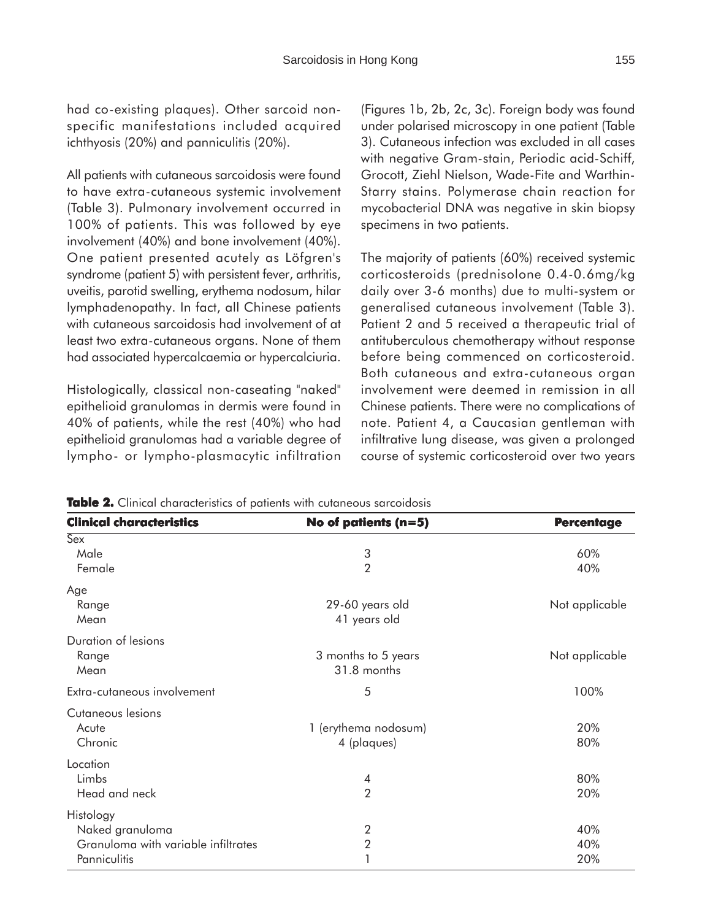had co-existing plaques). Other sarcoid nonspecific manifestations included acquired ichthyosis (20%) and panniculitis (20%).

All patients with cutaneous sarcoidosis were found to have extra-cutaneous systemic involvement (Table 3). Pulmonary involvement occurred in 100% of patients. This was followed by eye involvement (40%) and bone involvement (40%). One patient presented acutely as Löfgren's syndrome (patient 5) with persistent fever, arthritis, uveitis, parotid swelling, erythema nodosum, hilar lymphadenopathy. In fact, all Chinese patients with cutaneous sarcoidosis had involvement of at least two extra-cutaneous organs. None of them had associated hypercalcaemia or hypercalciuria.

Histologically, classical non-caseating "naked" epithelioid granulomas in dermis were found in 40% of patients, while the rest (40%) who had epithelioid granulomas had a variable degree of lympho- or lympho-plasmacytic infiltration (Figures 1b, 2b, 2c, 3c). Foreign body was found under polarised microscopy in one patient (Table 3). Cutaneous infection was excluded in all cases with negative Gram-stain, Periodic acid-Schiff, Grocott, Ziehl Nielson, Wade-Fite and Warthin-Starry stains. Polymerase chain reaction for mycobacterial DNA was negative in skin biopsy specimens in two patients.

The majority of patients (60%) received systemic corticosteroids (prednisolone 0.4-0.6mg/kg daily over 3-6 months) due to multi-system or generalised cutaneous involvement (Table 3). Patient 2 and 5 received a therapeutic trial of antituberculous chemotherapy without response before being commenced on corticosteroid. Both cutaneous and extra-cutaneous organ involvement were deemed in remission in all Chinese patients. There were no complications of note. Patient 4, a Caucasian gentleman with infiltrative lung disease, was given a prolonged course of systemic corticosteroid over two years

| <b>Clinical characteristics</b>                                                     | No of patients $(n=5)$              | <b>Percentage</b> |
|-------------------------------------------------------------------------------------|-------------------------------------|-------------------|
| Sex<br>Male<br>Female                                                               | 3<br>$\overline{2}$                 | 60%<br>40%        |
| Age<br>Range<br>Mean                                                                | 29-60 years old<br>41 years old     | Not applicable    |
| Duration of lesions<br>Range<br>Mean                                                | 3 months to 5 years<br>31.8 months  | Not applicable    |
| Extra-cutaneous involvement                                                         | 5                                   | 100%              |
| Cutaneous lesions<br>Acute<br>Chronic                                               | 1 (erythema nodosum)<br>4 (plaques) | 20%<br>80%        |
| Location<br>Limbs<br>Head and neck                                                  | 4<br>$\overline{2}$                 | 80%<br>20%        |
| Histology<br>Naked granuloma<br>Granuloma with variable infiltrates<br>Panniculitis | 2<br>$\overline{2}$                 | 40%<br>40%<br>20% |

| Table 2. Clinical characteristics of patients with cutaneous sarcoidosis |  |  |
|--------------------------------------------------------------------------|--|--|
|--------------------------------------------------------------------------|--|--|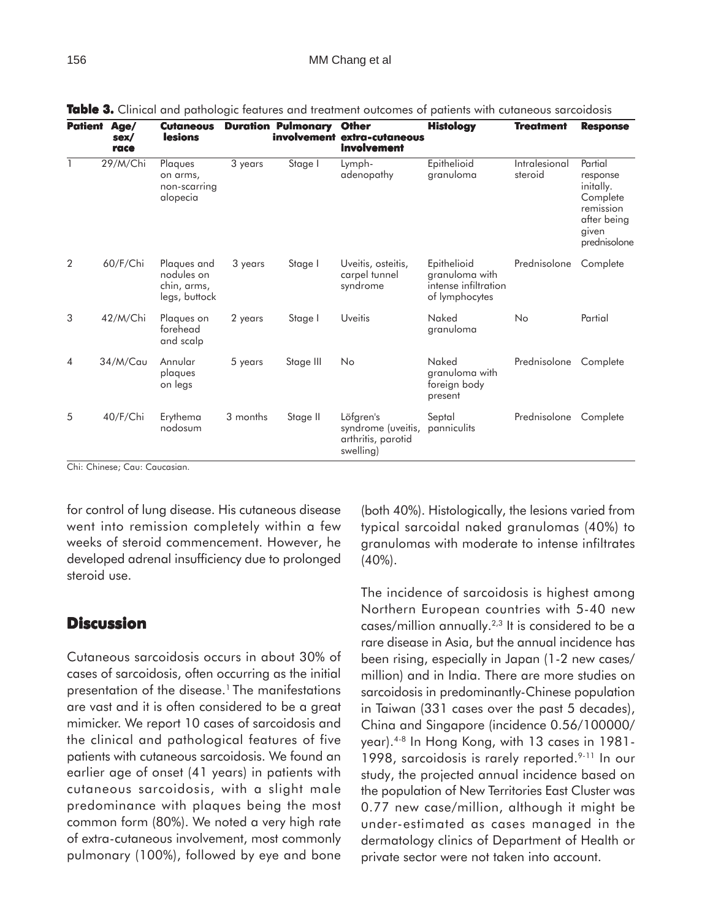| <b>Patient</b> | Age/<br>sex/<br>race | <b>Cutaneous</b><br>lesions                               |          | <b>Duration Pulmonary</b> | <b>Other</b><br>involvement extra-cutaneous<br>involvement         | <b>Histology</b>                                                        | <b>Treatment</b>         | <b>Response</b>                                                                                   |
|----------------|----------------------|-----------------------------------------------------------|----------|---------------------------|--------------------------------------------------------------------|-------------------------------------------------------------------------|--------------------------|---------------------------------------------------------------------------------------------------|
| 1              | 29/M/Chi             | Plaques<br>on arms,<br>non-scarring<br>alopecia           | 3 years  | Stage I                   | Lymph-<br>adenopathy                                               | Epithelioid<br>granuloma                                                | Intralesional<br>steroid | Partial<br>response<br>initally.<br>Complete<br>remission<br>after being<br>given<br>prednisolone |
| $\overline{2}$ | 60/F/Chi             | Plaques and<br>nodules on<br>chin, arms,<br>legs, buttock | 3 years  | Stage I                   | Uveitis, osteitis,<br>carpel tunnel<br>syndrome                    | Epithelioid<br>granuloma with<br>intense infiltration<br>of lymphocytes | Prednisolone             | Complete                                                                                          |
| 3              | 42/M/Chi             | Plaques on<br>forehead<br>and scalp                       | 2 years  | Stage I                   | Uveitis                                                            | Naked<br>granuloma                                                      | No                       | Partial                                                                                           |
| $\overline{4}$ | 34/M/Cau             | Annular<br>plaques<br>on legs                             | 5 years  | Stage III                 | No                                                                 | Naked<br>granuloma with<br>foreign body<br>present                      | Prednisolone             | Complete                                                                                          |
| 5              | 40/F/Chi             | Erythema<br>nodosum                                       | 3 months | Stage II                  | Löfgren's<br>syndrome (uveitis,<br>arthritis, parotid<br>swelling) | Septal<br>panniculits                                                   | Prednisolone             | Complete                                                                                          |

**Table 3.** Clinical and pathologic features and treatment outcomes of patients with cutaneous sarcoidosis

Chi: Chinese; Cau: Caucasian.

for control of lung disease. His cutaneous disease went into remission completely within a few weeks of steroid commencement. However, he developed adrenal insufficiency due to prolonged steroid use.

## **Discussion**

Cutaneous sarcoidosis occurs in about 30% of cases of sarcoidosis, often occurring as the initial presentation of the disease.<sup>1</sup> The manifestations are vast and it is often considered to be a great mimicker. We report 10 cases of sarcoidosis and the clinical and pathological features of five patients with cutaneous sarcoidosis. We found an earlier age of onset (41 years) in patients with cutaneous sarcoidosis, with a slight male predominance with plaques being the most common form (80%). We noted a very high rate of extra-cutaneous involvement, most commonly pulmonary (100%), followed by eye and bone (both 40%). Histologically, the lesions varied from typical sarcoidal naked granulomas (40%) to granulomas with moderate to intense infiltrates (40%).

The incidence of sarcoidosis is highest among Northern European countries with 5-40 new cases/million annually.2,3 It is considered to be a rare disease in Asia, but the annual incidence has been rising, especially in Japan (1-2 new cases/ million) and in India. There are more studies on sarcoidosis in predominantly-Chinese population in Taiwan (331 cases over the past 5 decades), China and Singapore (incidence 0.56/100000/ year).4-8 In Hong Kong, with 13 cases in 1981- 1998, sarcoidosis is rarely reported.<sup>9-11</sup> In our study, the projected annual incidence based on the population of New Territories East Cluster was 0.77 new case/million, although it might be under-estimated as cases managed in the dermatology clinics of Department of Health or private sector were not taken into account.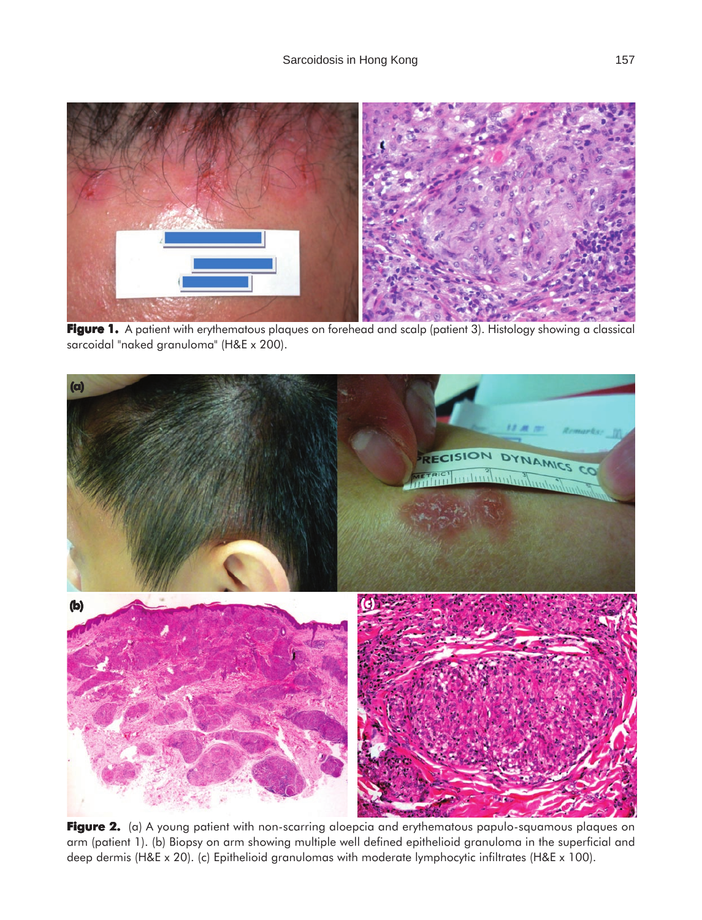

**Figure 1. Figure 1.** A patient with erythematous plaques on forehead and scalp (patient 3). Histology showing a classical sarcoidal "naked granuloma" (H&E x 200).



Figure 2. (a) A young patient with non-scarring aloepcia and erythematous papulo-squamous plaques on arm (patient 1). (b) Biopsy on arm showing multiple well defined epithelioid granuloma in the superficial and deep dermis (H&E x 20). (c) Epithelioid granulomas with moderate lymphocytic infiltrates (H&E x 100).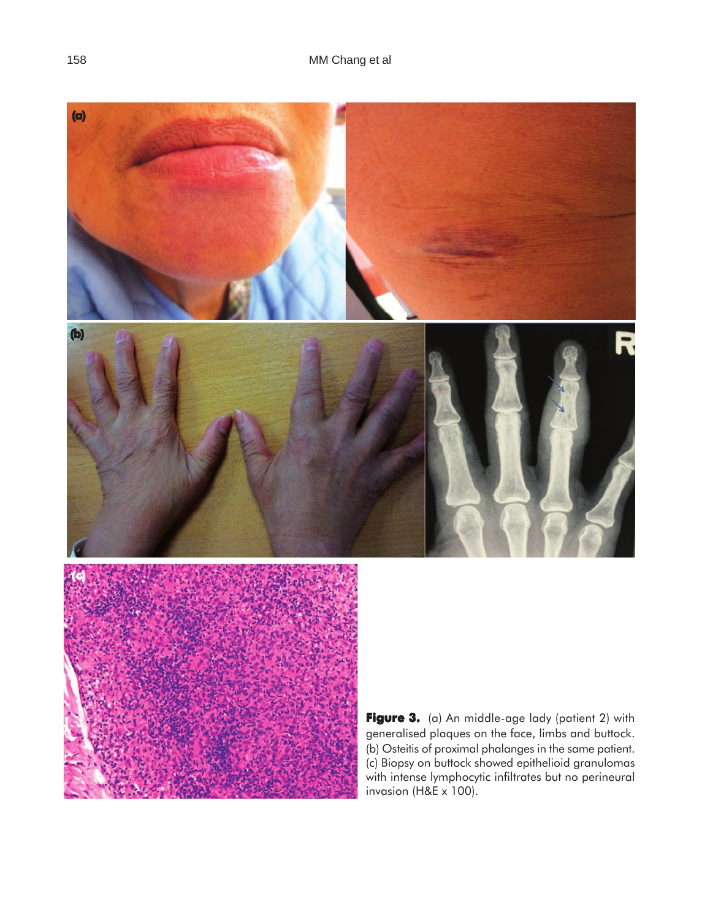

with intense lymphocytic infiltrates but no perineural invasion  $(H&E x 100)$ .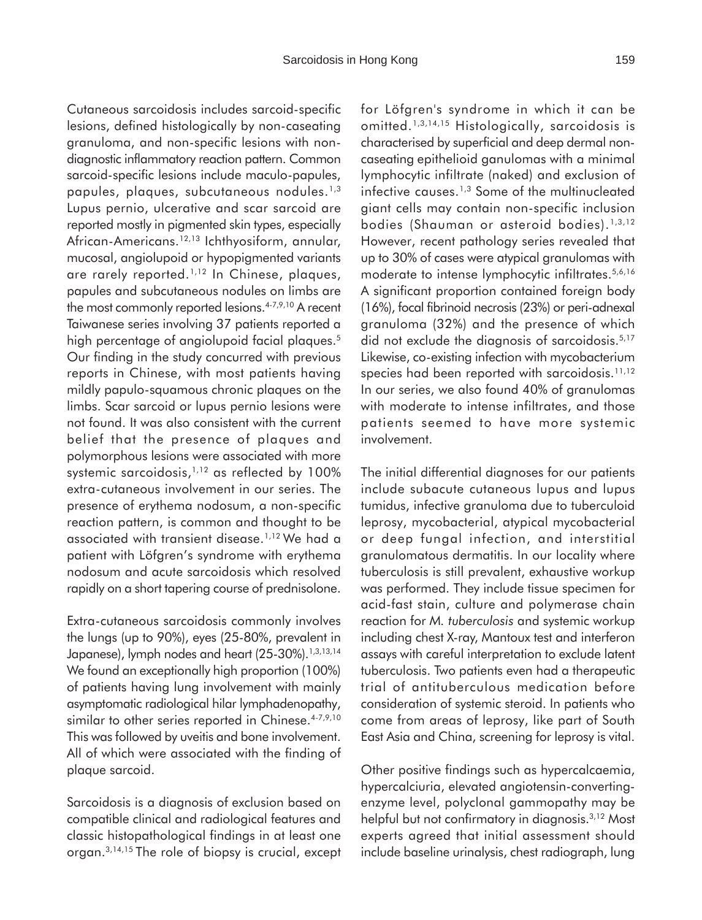Cutaneous sarcoidosis includes sarcoid-specific lesions, defined histologically by non-caseating granuloma, and non-specific lesions with nondiagnostic inflammatory reaction pattern. Common sarcoid-specific lesions include maculo-papules, papules, plaques, subcutaneous nodules.1,3 Lupus pernio, ulcerative and scar sarcoid are reported mostly in pigmented skin types, especially African-Americans.12,13 Ichthyosiform, annular, mucosal, angiolupoid or hypopigmented variants are rarely reported.<sup>1,12</sup> In Chinese, plaques, papules and subcutaneous nodules on limbs are the most commonly reported lesions.<sup>4-7,9,10</sup> A recent Taiwanese series involving 37 patients reported a high percentage of angiolupoid facial plaques.<sup>5</sup> Our finding in the study concurred with previous reports in Chinese, with most patients having mildly papulo-squamous chronic plaques on the limbs. Scar sarcoid or lupus pernio lesions were not found. It was also consistent with the current belief that the presence of plaques and polymorphous lesions were associated with more systemic sarcoidosis,<sup>1,12</sup> as reflected by 100% extra-cutaneous involvement in our series. The presence of erythema nodosum, a non-specific reaction pattern, is common and thought to be associated with transient disease.1,12 We had a patient with Löfgren's syndrome with erythema nodosum and acute sarcoidosis which resolved rapidly on a short tapering course of prednisolone.

Extra-cutaneous sarcoidosis commonly involves the lungs (up to 90%), eyes (25-80%, prevalent in Japanese), lymph nodes and heart (25-30%).<sup>1,3,13,14</sup> We found an exceptionally high proportion (100%) of patients having lung involvement with mainly asymptomatic radiological hilar lymphadenopathy, similar to other series reported in Chinese.<sup>4-7,9,10</sup> This was followed by uveitis and bone involvement. All of which were associated with the finding of plaque sarcoid.

Sarcoidosis is a diagnosis of exclusion based on compatible clinical and radiological features and classic histopathological findings in at least one organ.3,14,15 The role of biopsy is crucial, except for Löfgren's syndrome in which it can be omitted.1,3,14,15 Histologically, sarcoidosis is characterised by superficial and deep dermal noncaseating epithelioid ganulomas with a minimal lymphocytic infiltrate (naked) and exclusion of infective causes.<sup>1,3</sup> Some of the multinucleated giant cells may contain non-specific inclusion bodies (Shauman or asteroid bodies).<sup>1,3,12</sup> However, recent pathology series revealed that up to 30% of cases were atypical granulomas with moderate to intense lymphocytic infiltrates.5,6,16 A significant proportion contained foreign body (16%), focal fibrinoid necrosis (23%) or peri-adnexal granuloma (32%) and the presence of which did not exclude the diagnosis of sarcoidosis.<sup>5,17</sup> Likewise, co-existing infection with mycobacterium species had been reported with sarcoidosis.<sup>11,12</sup> In our series, we also found 40% of granulomas with moderate to intense infiltrates, and those patients seemed to have more systemic involvement.

The initial differential diagnoses for our patients include subacute cutaneous lupus and lupus tumidus, infective granuloma due to tuberculoid leprosy, mycobacterial, atypical mycobacterial or deep fungal infection, and interstitial granulomatous dermatitis. In our locality where tuberculosis is still prevalent, exhaustive workup was performed. They include tissue specimen for acid-fast stain, culture and polymerase chain reaction for *M. tuberculosis* and systemic workup including chest X-ray, Mantoux test and interferon assays with careful interpretation to exclude latent tuberculosis. Two patients even had a therapeutic trial of antituberculous medication before consideration of systemic steroid. In patients who come from areas of leprosy, like part of South East Asia and China, screening for leprosy is vital.

Other positive findings such as hypercalcaemia, hypercalciuria, elevated angiotensin-convertingenzyme level, polyclonal gammopathy may be helpful but not confirmatory in diagnosis.<sup>3,12</sup> Most experts agreed that initial assessment should include baseline urinalysis, chest radiograph, lung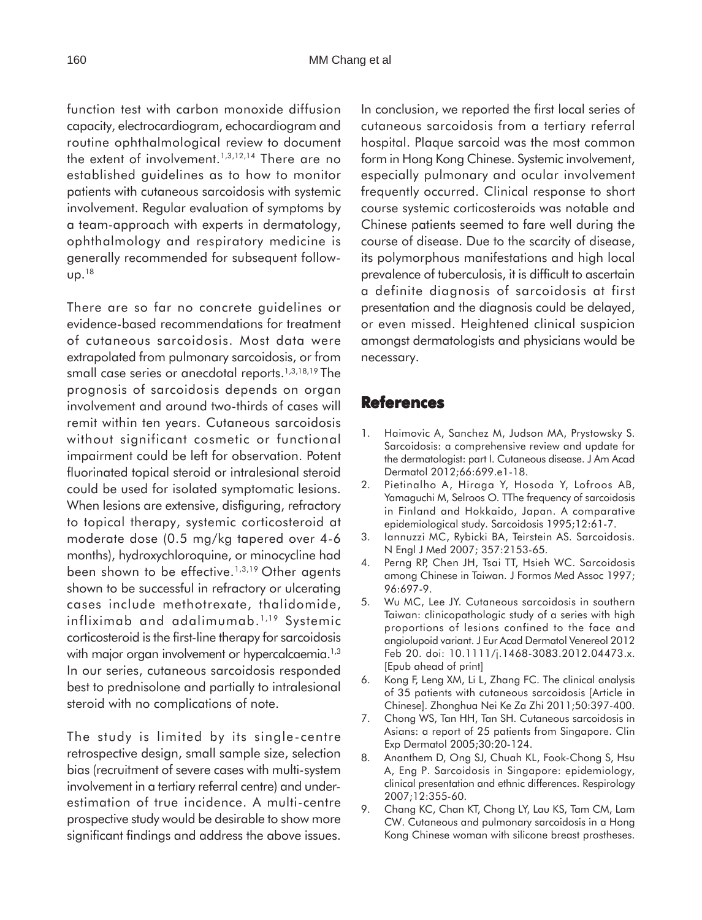function test with carbon monoxide diffusion capacity, electrocardiogram, echocardiogram and routine ophthalmological review to document the extent of involvement.1,3,12,14 There are no established guidelines as to how to monitor patients with cutaneous sarcoidosis with systemic involvement. Regular evaluation of symptoms by a team-approach with experts in dermatology, ophthalmology and respiratory medicine is generally recommended for subsequent follow $up.^{18}$ 

There are so far no concrete guidelines or evidence-based recommendations for treatment of cutaneous sarcoidosis. Most data were extrapolated from pulmonary sarcoidosis, or from small case series or anecdotal reports.<sup>1,3,18,19</sup> The prognosis of sarcoidosis depends on organ involvement and around two-thirds of cases will remit within ten years. Cutaneous sarcoidosis without significant cosmetic or functional impairment could be left for observation. Potent fluorinated topical steroid or intralesional steroid could be used for isolated symptomatic lesions. When lesions are extensive, disfiguring, refractory to topical therapy, systemic corticosteroid at moderate dose (0.5 mg/kg tapered over 4-6 months), hydroxychloroquine, or minocycline had been shown to be effective.<sup>1,3,19</sup> Other agents shown to be successful in refractory or ulcerating cases include methotrexate, thalidomide, infliximab and adalimumab.1,19 Systemic corticosteroid is the first-line therapy for sarcoidosis with major organ involvement or hypercalcaemia.<sup>1,3</sup> In our series, cutaneous sarcoidosis responded best to prednisolone and partially to intralesional steroid with no complications of note.

The study is limited by its single-centre retrospective design, small sample size, selection bias (recruitment of severe cases with multi-system involvement in a tertiary referral centre) and underestimation of true incidence. A multi-centre prospective study would be desirable to show more significant findings and address the above issues. In conclusion, we reported the first local series of cutaneous sarcoidosis from a tertiary referral hospital. Plaque sarcoid was the most common form in Hong Kong Chinese. Systemic involvement, especially pulmonary and ocular involvement frequently occurred. Clinical response to short course systemic corticosteroids was notable and Chinese patients seemed to fare well during the course of disease. Due to the scarcity of disease, its polymorphous manifestations and high local prevalence of tuberculosis, it is difficult to ascertain a definite diagnosis of sarcoidosis at first presentation and the diagnosis could be delayed, or even missed. Heightened clinical suspicion amongst dermatologists and physicians would be necessary.

### **References**

- 1. Haimovic A, Sanchez M, Judson MA, Prystowsky S. Sarcoidosis: a comprehensive review and update for the dermatologist: part I. Cutaneous disease. J Am Acad Dermatol 2012;66:699.e1-18.
- 2. Pietinalho A, Hiraga Y, Hosoda Y, Lofroos AB, Yamaguchi M, Selroos O. TThe frequency of sarcoidosis in Finland and Hokkaido, Japan. A comparative epidemiological study. Sarcoidosis 1995;12:61-7.
- 3. Iannuzzi MC, Rybicki BA, Teirstein AS. Sarcoidosis. N Engl J Med 2007; 357:2153-65.
- 4. Perng RP, Chen JH, Tsai TT, Hsieh WC. Sarcoidosis among Chinese in Taiwan. J Formos Med Assoc 1997; 96:697-9.
- 5. Wu MC, Lee JY. Cutaneous sarcoidosis in southern Taiwan: clinicopathologic study of a series with high proportions of lesions confined to the face and angiolupoid variant. J Eur Acad Dermatol Venereol 2012 Feb 20. doi: 10.1111/j.1468-3083.2012.04473.x. [Epub ahead of print]
- 6. Kong F, Leng XM, Li L, Zhang FC. The clinical analysis of 35 patients with cutaneous sarcoidosis [Article in Chinese]. Zhonghua Nei Ke Za Zhi 2011;50:397-400.
- 7. Chong WS, Tan HH, Tan SH. Cutaneous sarcoidosis in Asians: a report of 25 patients from Singapore. Clin Exp Dermatol 2005;30:20-124.
- 8. Ananthem D, Ong SJ, Chuah KL, Fook-Chong S, Hsu A, Eng P. Sarcoidosis in Singapore: epidemiology, clinical presentation and ethnic differences. Respirology 2007;12:355-60.
- 9. Chang KC, Chan KT, Chong LY, Lau KS, Tam CM, Lam CW. Cutaneous and pulmonary sarcoidosis in a Hong Kong Chinese woman with silicone breast prostheses.